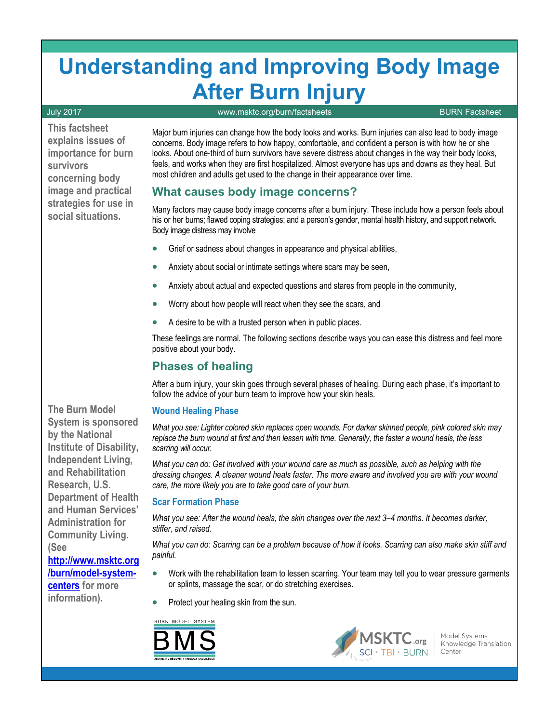# **Understanding and Improving Body Image After Burn Injury**

#### July 2017 [www.msktc.org/burn/factsheets](http://www.msktc.org/burn/factsheets/) BURN Factsheet

**This factsheet explains issues of importance for burn survivors concerning body image and practical strategies for use in social situations.**

Major burn injuries can change how the body looks and works. Burn injuries can also lead to body image concerns. Body image refers to how happy, comfortable, and confident a person is with how he or she looks. About one-third of burn survivors have severe distress about changes in the way their body looks, feels, and works when they are first hospitalized. Almost everyone has ups and downs as they heal. But most children and adults get used to the change in their appearance over time.

# **What causes body image concerns?**

Many factors may cause body image concerns after a burn injury. These include how a person feels about his or her burns; flawed coping strategies; and a person's gender, mental health history, and support network. Body image distress may involve

- Grief or sadness about changes in appearance and physical abilities,
- Anxiety about social or intimate settings where scars may be seen,
- Anxiety about actual and expected questions and stares from people in the community,
- Worry about how people will react when they see the scars, and
- A desire to be with a trusted person when in public places.

These feelings are normal. The following sections describe ways you can ease this distress and feel more positive about your body.

# **Phases of healing**

After a burn injury, your skin goes through several phases of healing. During each phase, it's important to follow the advice of your burn team to improve how your skin heals.

#### **Wound Healing Phase**

*What you see: Lighter colored skin replaces open wounds. For darker skinned people, pink colored skin may replace the burn wound at first and then lessen with time. Generally, the faster a wound heals, the less scarring will occur.*

*What you can do: Get involved with your wound care as much as possible, such as helping with the dressing changes. A cleaner wound heals faster. The more aware and involved you are with your wound care, the more likely you are to take good care of your burn.*

#### **Scar Formation Phase**

What you see: After the wound heals, the skin changes over the next 3–4 months. It becomes darker, *stiffer, and raised.* 

*What you can do: Scarring can be a problem because of how it looks. Scarring can also make skin stiff and painful.*

- Work with the rehabilitation team to lessen scarring. Your team may tell you to wear pressure garments or splints, massage the scar, or do stretching exercises.
- Protect your healing skin from the sun.



 $\overline{1}$ 



Model Systems Knowledge Translation Center

**The Burn Model System is sponsored by the National Institute of Disability, Independent Living, and Rehabilitation Research, U.S. Department of Health and Human Services' Administration for Community Living. (See**

**[http://www.msktc.org](http://www.msktc.org/burn/model-system-centers)  [/burn/model-system](http://www.msktc.org/burn/model-system-centers)[centers](http://www.msktc.org/burn/model-system-centers) for more information).**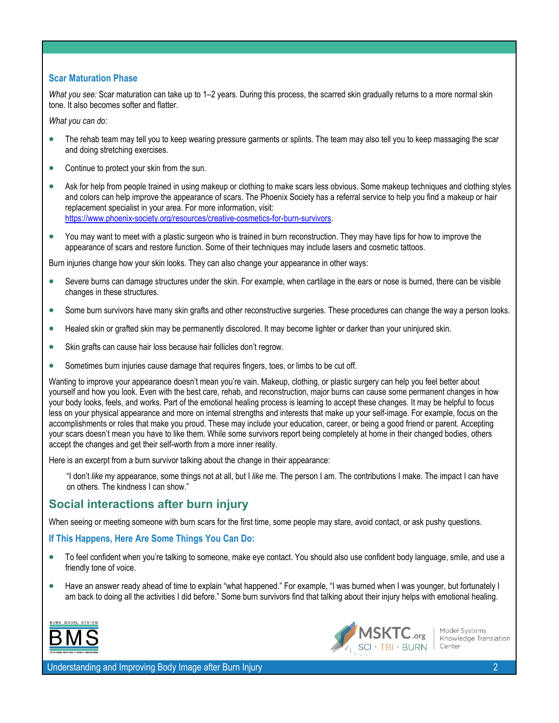#### **Scar Maturation Phase**

*What you see:* Scar maturation can take up to 1–2 years. During this process, the scarred skin gradually returns to a more normal skin tone. It also becomes softer and flatter.

*What you can do:* 

- The rehab team may tell you to keep wearing pressure garments or splints. The team may also tell you to keep massaging the scar and doing stretching exercises.
- Continue to protect your skin from the sun.
- Ask for help from people trained in using makeup or clothing to make scars less obvious. Some makeup techniques and clothing styles and colors can help improve the appearance of scars. The Phoenix Society has a referral service to help you find a makeup or hair replacement specialist in your area. For more information, visit: [https://www.phoenix-society.org/resources/creative-cosmetics-for-burn-survivors.](https://www.phoenix-society.org/resources/creative-cosmetics-for-burn-survivors)
- You may want to meet with a plastic surgeon who is trained in burn reconstruction. They may have tips for how to improve the appearance of scars and restore function. Some of their techniques may include lasers and cosmetic tattoos.

Burn injuries change how your skin looks. They can also change your appearance in other ways:

- Severe burns can damage structures under the skin. For example, when cartilage in the ears or nose is burned, there can be visible changes in these structures.
- Some burn survivors have many skin grafts and other reconstructive surgeries. These procedures can change the way a person looks.
- Healed skin or grafted skin may be permanently discolored. It may become lighter or darker than your uninjured skin.
- Skin grafts can cause hair loss because hair follicles don't regrow.
- Sometimes burn injuries cause damage that requires fingers, toes, or limbs to be cut off.

Wanting to improve your appearance doesn't mean you're vain. Makeup, clothing, or plastic surgery can help you feel better about yourself and how you look. Even with the best care, rehab, and reconstruction, major burns can cause some permanent changes in how your body looks, feels, and works. Part of the emotional healing process is learning to accept these changes. It may be helpful to focus less on your physical appearance and more on internal strengths and interests that make up your self-image. For example, focus on the accomplishments or roles that make you proud. These may include your education, career, or being a good friend or parent. Accepting your scars doesn't mean you have to like them. While some survivors report being completely at home in their changed bodies, others accept the changes and get their self-worth from a more inner reality.

Here is an excerpt from a burn survivor talking about the change in their appearance:

"I don't *like* my appearance, some things not at all, but I *like* me. The person I am. The contributions I make. The impact I can have on others. The kindness I can show."

### **Social interactions after burn injury**

When seeing or meeting someone with burn scars for the first time, some people may stare, avoid contact, or ask pushy questions.

#### **If This Happens, Here Are Some Things You Can Do:**

- To feel confident when you're talking to someone, make eye contact. You should also use confident body language, smile, and use a friendly tone of voice.
- Have an answer ready ahead of time to explain "what happened." For example, "I was burned when I was younger, but fortunately I am back to doing all the activities I did before." Some burn survivors find that talking about their injury helps with emotional healing.





Model Systems Knowledge Translation Center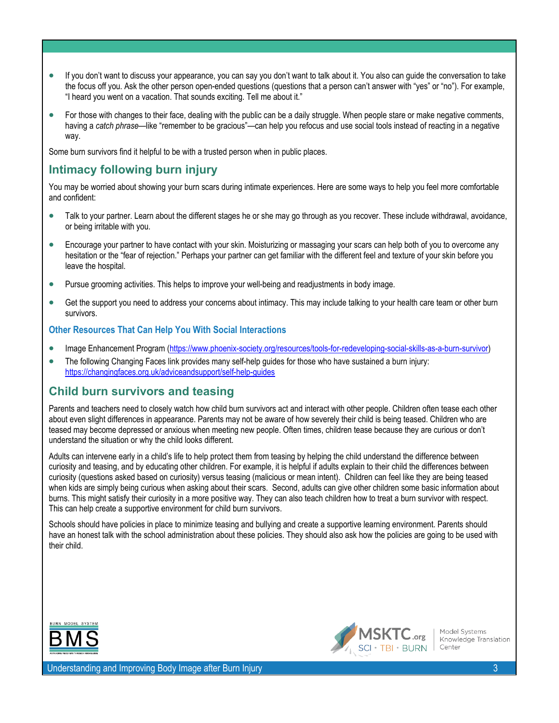- If you don't want to discuss your appearance, you can say you don't want to talk about it. You also can guide the conversation to take the focus off you. Ask the other person open-ended questions (questions that a person can't answer with "yes" or "no"). For example, "I heard you went on a vacation. That sounds exciting. Tell me about it."
- For those with changes to their face, dealing with the public can be a daily struggle. When people stare or make negative comments, having a *catch phrase*—like "remember to be gracious"—can help you refocus and use social tools instead of reacting in a negative way.

Some burn survivors find it helpful to be with a trusted person when in public places.

# **Intimacy following burn injury**

You may be worried about showing your burn scars during intimate experiences. Here are some ways to help you feel more comfortable and confident:

- Talk to your partner. Learn about the different stages he or she may go through as you recover. These include withdrawal, avoidance, or being irritable with you.
- Encourage your partner to have contact with your skin. Moisturizing or massaging your scars can help both of you to overcome any hesitation or the "fear of rejection." Perhaps your partner can get familiar with the different feel and texture of your skin before you leave the hospital.
- Pursue grooming activities. This helps to improve your well-being and readjustments in body image.
- Get the support you need to address your concerns about intimacy. This may include talking to your health care team or other burn survivors.

#### **Other Resources That Can Help You With Social Interactions**

- Image Enhancement Program [\(https://www.phoenix-society.org/resources/tools-for-redeveloping-social-skills-as-a-burn-survivor\)](https://www.phoenix-society.org/resources/tools-for-redeveloping-social-skills-as-a-burn-survivor)
- The following Changing Faces link provides many self-help guides for those who have sustained a burn injury: <https://changingfaces.org.uk/adviceandsupport/self-help-guides>

# **Child burn survivors and teasing**

Parents and teachers need to closely watch how child burn survivors act and interact with other people. Children often tease each other about even slight differences in appearance. Parents may not be aware of how severely their child is being teased. Children who are teased may become depressed or anxious when meeting new people. Often times, children tease because they are curious or don't understand the situation or why the child looks different.

Adults can intervene early in a child's life to help protect them from teasing by helping the child understand the difference between curiosity and teasing, and by educating other children. For example, it is helpful if adults explain to their child the differences between curiosity (questions asked based on curiosity) versus teasing (malicious or mean intent). Children can feel like they are being teased when kids are simply being curious when asking about their scars. Second, adults can give other children some basic information about burns. This might satisfy their curiosity in a more positive way. They can also teach children how to treat a burn survivor with respect. This can help create a supportive environment for child burn survivors.

Schools should have policies in place to minimize teasing and bullying and create a supportive learning environment. Parents should have an honest talk with the school administration about these policies. They should also ask how the policies are going to be used with their child.





Model Systems Knowledge Translation Center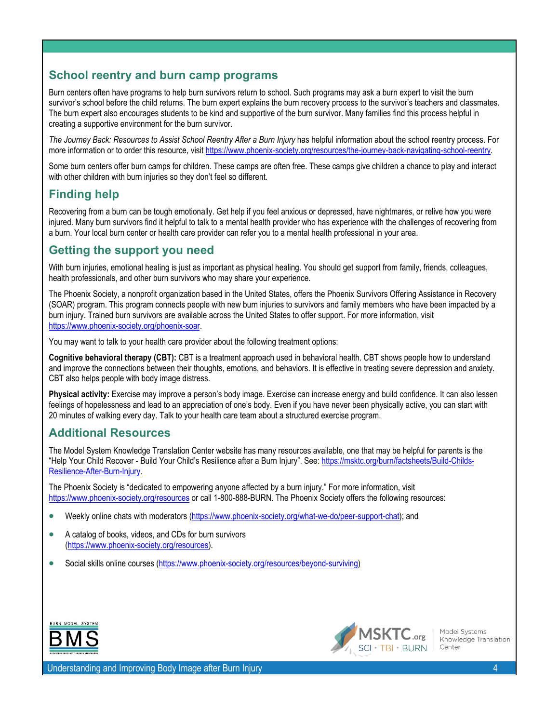# **School reentry and burn camp programs**

Burn centers often have programs to help burn survivors return to school. Such programs may ask a burn expert to visit the burn survivor's school before the child returns. The burn expert explains the burn recovery process to the survivor's teachers and classmates. The burn expert also encourages students to be kind and supportive of the burn survivor. Many families find this process helpful in creating a supportive environment for the burn survivor.

*The Journey Back: Resources to Assist School Reentry After a Burn Injury* has helpful information about the school reentry process. For more information or to order this resource, visit https://www.phoenix-society.org/resources/the-journey-back-navigating-school-reentry.

Some burn centers offer burn camps for children. These camps are often free. These camps give children a chance to play and interact with other children with burn injuries so they don't feel so different.

# **Finding help**

Recovering from a burn can be tough emotionally. Get help if you feel anxious or depressed, have nightmares, or relive how you were injured. Many burn survivors find it helpful to talk to a mental health provider who has experience with the challenges of recovering from a burn. Your local burn center or health care provider can refer you to a mental health professional in your area.

# **Getting the support you need**

With burn injuries, emotional healing is just as important as physical healing. You should get support from family, friends, colleagues, health professionals, and other burn survivors who may share your experience.

The Phoenix Society, a nonprofit organization based in the United States, offers the Phoenix Survivors Offering Assistance in Recovery (SOAR) program. This program connects people with new burn injuries to survivors and family members who have been impacted by a burn injury. Trained burn survivors are available across the United States to offer support. For more information, visit [https://www.phoenix-society.org/phoenix-soar.](https://www.phoenix-society.org/phoenix-soar)

You may want to talk to your health care provider about the following treatment options:

**Cognitive behavioral therapy (CBT):** CBT is a treatment approach used in behavioral health. CBT shows people how to understand and improve the connections between their thoughts, emotions, and behaviors. It is effective in treating severe depression and anxiety. CBT also helps people with body image distress.

**Physical activity:** Exercise may improve a person's body image. Exercise can increase energy and build confidence. It can also lessen feelings of hopelessness and lead to an appreciation of one's body. Even if you have never been physically active, you can start with 20 minutes of walking every day. Talk to your health care team about a structured exercise program.

# **Additional Resources**

The Model System Knowledge Translation Center website has many resources available, one that may be helpful for parents is the "Help Your Child Recover - Build Your Child's Resilience after a Burn Injury". See: [https://msktc.org/burn/factsheets/Build-Childs-](https://msktc.org/burn/factsheets/Build-Childs-Resilience-After-Burn-Injury)[Resilience-After-Burn-Injury.](https://msktc.org/burn/factsheets/Build-Childs-Resilience-After-Burn-Injury)

The Phoenix Society is "dedicated to empowering anyone affected by a burn injury." For more information, visit <https://www.phoenix-society.org/resources> or call 1-800-888-BURN. The Phoenix Society offers the following resources:

- Weekly online chats with moderators [\(https://www.phoenix-society.org/what-we-do/peer-support-chat\)](https://www.phoenix-society.org/what-we-do/peer-support-chat); and
- A catalog of books, videos, and CDs for burn survivors [\(https://www.phoenix-society.org/resources\)](https://www.phoenix-society.org/resources).
- Social skills online courses [\(https://www.phoenix-society.org/resources/beyond-surviving\)](https://www.phoenix-society.org/resources/beyond-surviving)





Model Systems Knowledge Translation Center